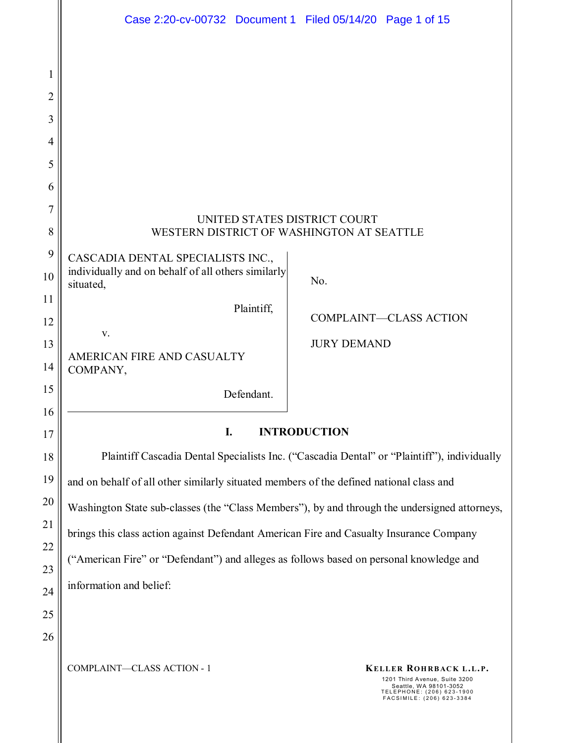|                                    | Case 2:20-cv-00732 Document 1 Filed 05/14/20 Page 1 of 15                                                                                                                 |  |  |  |  |  |  |  |  |  |
|------------------------------------|---------------------------------------------------------------------------------------------------------------------------------------------------------------------------|--|--|--|--|--|--|--|--|--|
| I<br>2<br>3<br>$\overline{4}$<br>5 |                                                                                                                                                                           |  |  |  |  |  |  |  |  |  |
| 6                                  |                                                                                                                                                                           |  |  |  |  |  |  |  |  |  |
| 7<br>8                             | UNITED STATES DISTRICT COURT<br>WESTERN DISTRICT OF WASHINGTON AT SEATTLE                                                                                                 |  |  |  |  |  |  |  |  |  |
| 9<br>10                            | CASCADIA DENTAL SPECIALISTS INC.,<br>individually and on behalf of all others similarly<br>No.<br>situated,                                                               |  |  |  |  |  |  |  |  |  |
| 11<br>12<br>13                     | Plaintiff,<br><b>COMPLAINT-CLASS ACTION</b><br>V.<br><b>JURY DEMAND</b><br>AMERICAN FIRE AND CASUALTY                                                                     |  |  |  |  |  |  |  |  |  |
| 14                                 | COMPANY,                                                                                                                                                                  |  |  |  |  |  |  |  |  |  |
| 15<br>16                           | Defendant.                                                                                                                                                                |  |  |  |  |  |  |  |  |  |
| 17                                 | I.<br><b>INTRODUCTION</b>                                                                                                                                                 |  |  |  |  |  |  |  |  |  |
| 18                                 | Plaintiff Cascadia Dental Specialists Inc. ("Cascadia Dental" or "Plaintiff"), individually                                                                               |  |  |  |  |  |  |  |  |  |
| 19                                 | and on behalf of all other similarly situated members of the defined national class and                                                                                   |  |  |  |  |  |  |  |  |  |
| 20                                 | Washington State sub-classes (the "Class Members"), by and through the undersigned attorneys,                                                                             |  |  |  |  |  |  |  |  |  |
| 21                                 | brings this class action against Defendant American Fire and Casualty Insurance Company                                                                                   |  |  |  |  |  |  |  |  |  |
| 22<br>23                           | ("American Fire" or "Defendant") and alleges as follows based on personal knowledge and                                                                                   |  |  |  |  |  |  |  |  |  |
| 24                                 | information and belief:                                                                                                                                                   |  |  |  |  |  |  |  |  |  |
| 25                                 |                                                                                                                                                                           |  |  |  |  |  |  |  |  |  |
| 26                                 |                                                                                                                                                                           |  |  |  |  |  |  |  |  |  |
|                                    | COMPLAINT-CLASS ACTION - 1<br>KELLER ROHRBACK L.L.P.<br>1201 Third Avenue, Suite 3200<br>Seattle, WA 98101-3052<br>TELEPHONE: (206) 623-1900<br>FACSIMILE: (206) 623-3384 |  |  |  |  |  |  |  |  |  |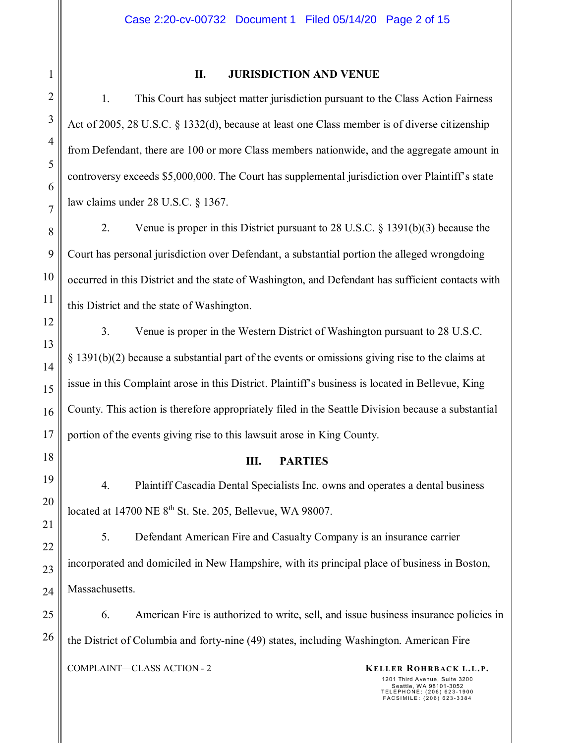#### **II. JURISDICTION AND VENUE**

1. This Court has subject matter jurisdiction pursuant to the Class Action Fairness Act of 2005, 28 U.S.C. § 1332(d), because at least one Class member is of diverse citizenship from Defendant, there are 100 or more Class members nationwide, and the aggregate amount in controversy exceeds \$5,000,000. The Court has supplemental jurisdiction over Plaintiff's state law claims under 28 U.S.C. § 1367.

2. Venue is proper in this District pursuant to 28 U.S.C. § 1391(b)(3) because the Court has personal jurisdiction over Defendant, a substantial portion the alleged wrongdoing occurred in this District and the state of Washington, and Defendant has sufficient contacts with this District and the state of Washington.

3. Venue is proper in the Western District of Washington pursuant to 28 U.S.C. § 1391(b)(2) because a substantial part of the events or omissions giving rise to the claims at issue in this Complaint arose in this District. Plaintiff's business is located in Bellevue, King County. This action is therefore appropriately filed in the Seattle Division because a substantial portion of the events giving rise to this lawsuit arose in King County.

#### **III. PARTIES**

4. Plaintiff Cascadia Dental Specialists Inc. owns and operates a dental business located at 14700 NE 8<sup>th</sup> St. Ste. 205, Bellevue, WA 98007.

5. Defendant American Fire and Casualty Company is an insurance carrier incorporated and domiciled in New Hampshire, with its principal place of business in Boston, Massachusetts.

6. American Fire is authorized to write, sell, and issue business insurance policies in the District of Columbia and forty-nine (49) states, including Washington. American Fire

COMPLAINT—CLASS ACTION - 2 **KELLER ROHRBACK L.L.P.**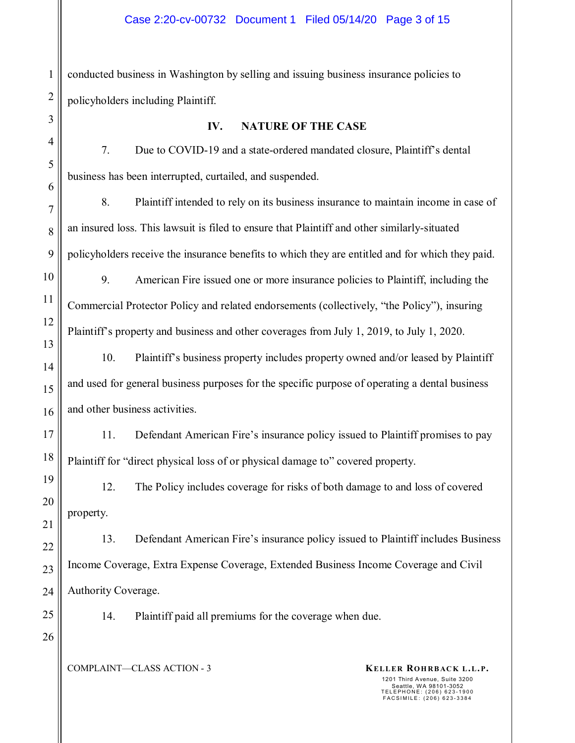2 conducted business in Washington by selling and issuing business insurance policies to policyholders including Plaintiff.

#### **IV. NATURE OF THE CASE**

7. Due to COVID-19 and a state-ordered mandated closure, Plaintiff's dental business has been interrupted, curtailed, and suspended.

8. Plaintiff intended to rely on its business insurance to maintain income in case of an insured loss. This lawsuit is filed to ensure that Plaintiff and other similarly-situated policyholders receive the insurance benefits to which they are entitled and for which they paid.

9. American Fire issued one or more insurance policies to Plaintiff, including the Commercial Protector Policy and related endorsements (collectively, "the Policy"), insuring Plaintiff's property and business and other coverages from July 1, 2019, to July 1, 2020.

10. Plaintiff's business property includes property owned and/or leased by Plaintiff and used for general business purposes for the specific purpose of operating a dental business and other business activities.

11. Defendant American Fire's insurance policy issued to Plaintiff promises to pay Plaintiff for "direct physical loss of or physical damage to" covered property.

12. The Policy includes coverage for risks of both damage to and loss of covered property.

13. Defendant American Fire's insurance policy issued to Plaintiff includes Business Income Coverage, Extra Expense Coverage, Extended Business Income Coverage and Civil Authority Coverage.

25

1

3

4

5

6

7

8

9

10

11

12

13

14

15

16

17

18

19

20

21

22

23

24

26

14. Plaintiff paid all premiums for the coverage when due.

COMPLAINT—CLASS ACTION - 3 **KELLER ROHRBACK L.L.P.**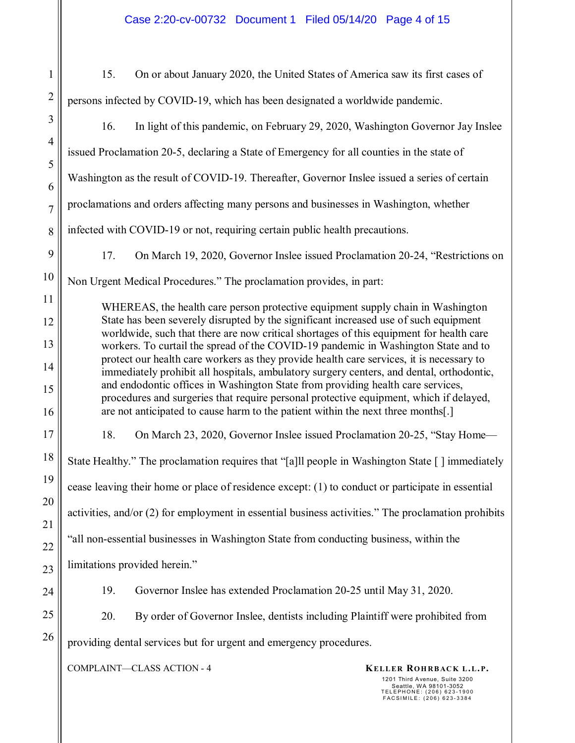| 1              | On or about January 2020, the United States of America saw its first cases of<br>15.                                                                                                                                                                                                                                                                                                                                                                    |                                                                                  |                                                                                 |  |  |  |  |  |
|----------------|---------------------------------------------------------------------------------------------------------------------------------------------------------------------------------------------------------------------------------------------------------------------------------------------------------------------------------------------------------------------------------------------------------------------------------------------------------|----------------------------------------------------------------------------------|---------------------------------------------------------------------------------|--|--|--|--|--|
| $\overline{c}$ | persons infected by COVID-19, which has been designated a worldwide pandemic.                                                                                                                                                                                                                                                                                                                                                                           |                                                                                  |                                                                                 |  |  |  |  |  |
| 3              | 16.                                                                                                                                                                                                                                                                                                                                                                                                                                                     |                                                                                  | In light of this pandemic, on February 29, 2020, Washington Governor Jay Inslee |  |  |  |  |  |
| $\overline{4}$ | issued Proclamation 20-5, declaring a State of Emergency for all counties in the state of                                                                                                                                                                                                                                                                                                                                                               |                                                                                  |                                                                                 |  |  |  |  |  |
| 5              | Washington as the result of COVID-19. Thereafter, Governor Inslee issued a series of certain                                                                                                                                                                                                                                                                                                                                                            |                                                                                  |                                                                                 |  |  |  |  |  |
| 6              |                                                                                                                                                                                                                                                                                                                                                                                                                                                         |                                                                                  |                                                                                 |  |  |  |  |  |
| 7              | proclamations and orders affecting many persons and businesses in Washington, whether                                                                                                                                                                                                                                                                                                                                                                   |                                                                                  |                                                                                 |  |  |  |  |  |
| 8              | infected with COVID-19 or not, requiring certain public health precautions.                                                                                                                                                                                                                                                                                                                                                                             |                                                                                  |                                                                                 |  |  |  |  |  |
| 9              | 17.                                                                                                                                                                                                                                                                                                                                                                                                                                                     |                                                                                  | On March 19, 2020, Governor Inslee issued Proclamation 20-24, "Restrictions on  |  |  |  |  |  |
| 10             | Non Urgent Medical Procedures." The proclamation provides, in part:                                                                                                                                                                                                                                                                                                                                                                                     |                                                                                  |                                                                                 |  |  |  |  |  |
| 11             | WHEREAS, the health care person protective equipment supply chain in Washington                                                                                                                                                                                                                                                                                                                                                                         |                                                                                  |                                                                                 |  |  |  |  |  |
| 12             | State has been severely disrupted by the significant increased use of such equipment<br>worldwide, such that there are now critical shortages of this equipment for health care                                                                                                                                                                                                                                                                         |                                                                                  |                                                                                 |  |  |  |  |  |
| 13             | workers. To curtail the spread of the COVID-19 pandemic in Washington State and to<br>protect our health care workers as they provide health care services, it is necessary to<br>immediately prohibit all hospitals, ambulatory surgery centers, and dental, orthodontic,<br>and endodontic offices in Washington State from providing health care services,<br>procedures and surgeries that require personal protective equipment, which if delayed, |                                                                                  |                                                                                 |  |  |  |  |  |
| 14             |                                                                                                                                                                                                                                                                                                                                                                                                                                                         |                                                                                  |                                                                                 |  |  |  |  |  |
| 15             |                                                                                                                                                                                                                                                                                                                                                                                                                                                         |                                                                                  |                                                                                 |  |  |  |  |  |
| 16             |                                                                                                                                                                                                                                                                                                                                                                                                                                                         | are not anticipated to cause harm to the patient within the next three months[.] |                                                                                 |  |  |  |  |  |
| 17             | 18.                                                                                                                                                                                                                                                                                                                                                                                                                                                     |                                                                                  | On March 23, 2020, Governor Inslee issued Proclamation 20-25, "Stay Home-       |  |  |  |  |  |
| 18             | State Healthy." The proclamation requires that "[a]ll people in Washington State [] immediately                                                                                                                                                                                                                                                                                                                                                         |                                                                                  |                                                                                 |  |  |  |  |  |
| 19             | cease leaving their home or place of residence except: (1) to conduct or participate in essential                                                                                                                                                                                                                                                                                                                                                       |                                                                                  |                                                                                 |  |  |  |  |  |
| 20             | activities, and/or (2) for employment in essential business activities." The proclamation prohibits                                                                                                                                                                                                                                                                                                                                                     |                                                                                  |                                                                                 |  |  |  |  |  |
| 21             | "all non-essential businesses in Washington State from conducting business, within the                                                                                                                                                                                                                                                                                                                                                                  |                                                                                  |                                                                                 |  |  |  |  |  |
| 22             | limitations provided herein."                                                                                                                                                                                                                                                                                                                                                                                                                           |                                                                                  |                                                                                 |  |  |  |  |  |
| 23             |                                                                                                                                                                                                                                                                                                                                                                                                                                                         |                                                                                  |                                                                                 |  |  |  |  |  |
| 24             | 19.                                                                                                                                                                                                                                                                                                                                                                                                                                                     | Governor Inslee has extended Proclamation 20-25 until May 31, 2020.              |                                                                                 |  |  |  |  |  |
| 25             | 20.                                                                                                                                                                                                                                                                                                                                                                                                                                                     |                                                                                  | By order of Governor Inslee, dentists including Plaintiff were prohibited from  |  |  |  |  |  |
| 26             | providing dental services but for urgent and emergency procedures.                                                                                                                                                                                                                                                                                                                                                                                      |                                                                                  |                                                                                 |  |  |  |  |  |
|                |                                                                                                                                                                                                                                                                                                                                                                                                                                                         | COMPLAINT-CLASS ACTION - 4                                                       | KELLER ROHRBACK L.L.P.                                                          |  |  |  |  |  |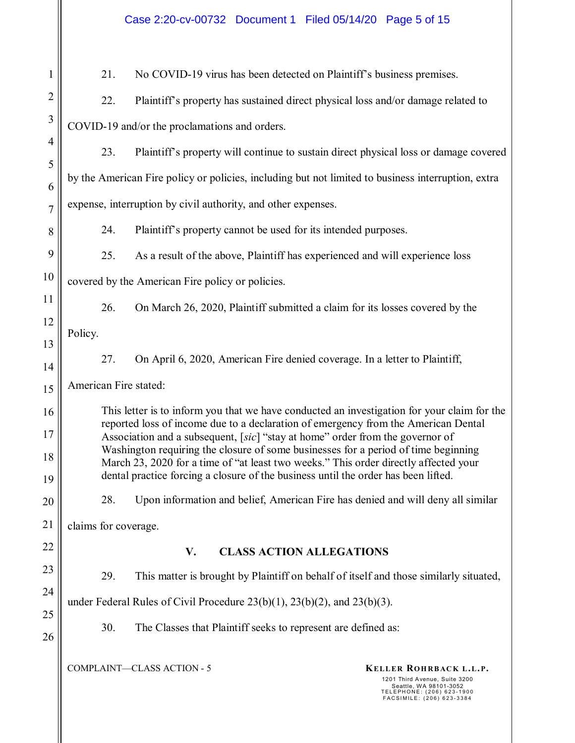COMPLAINT—CLASS ACTION - 5 **KELLER ROHRBACK L.L.P.** 1201 Third Avenue, Suite 3200 Seattle, WA 98101-3052 TELEPHONE: (206) 623-1900 FACSIMILE: (206) 623-3384 1 2 3 4 5 6 7 8 9 10 11 12 13 14 15 16 17 18 19 20 21 22 23 24 25 26 21. No COVID-19 virus has been detected on Plaintiff's business premises. 22. Plaintiff's property has sustained direct physical loss and/or damage related to COVID-19 and/or the proclamations and orders. 23. Plaintiff's property will continue to sustain direct physical loss or damage covered by the American Fire policy or policies, including but not limited to business interruption, extra expense, interruption by civil authority, and other expenses. 24. Plaintiff's property cannot be used for its intended purposes. 25. As a result of the above, Plaintiff has experienced and will experience loss covered by the American Fire policy or policies. 26. On March 26, 2020, Plaintiff submitted a claim for its losses covered by the Policy. 27. On April 6, 2020, American Fire denied coverage. In a letter to Plaintiff, American Fire stated: This letter is to inform you that we have conducted an investigation for your claim for the reported loss of income due to a declaration of emergency from the American Dental Association and a subsequent, [*sic*] "stay at home" order from the governor of Washington requiring the closure of some businesses for a period of time beginning March 23, 2020 for a time of "at least two weeks." This order directly affected your dental practice forcing a closure of the business until the order has been lifted. 28. Upon information and belief, American Fire has denied and will deny all similar claims for coverage. **V. CLASS ACTION ALLEGATIONS**  29. This matter is brought by Plaintiff on behalf of itself and those similarly situated, under Federal Rules of Civil Procedure 23(b)(1), 23(b)(2), and 23(b)(3). 30. The Classes that Plaintiff seeks to represent are defined as: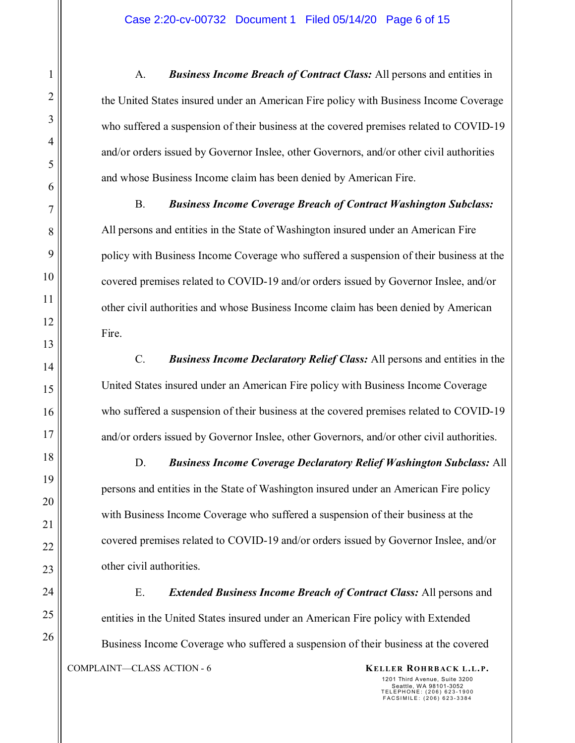A. *Business Income Breach of Contract Class:* All persons and entities in the United States insured under an American Fire policy with Business Income Coverage who suffered a suspension of their business at the covered premises related to COVID-19 and/or orders issued by Governor Inslee, other Governors, and/or other civil authorities and whose Business Income claim has been denied by American Fire.

B. *Business Income Coverage Breach of Contract Washington Subclass:* All persons and entities in the State of Washington insured under an American Fire policy with Business Income Coverage who suffered a suspension of their business at the covered premises related to COVID-19 and/or orders issued by Governor Inslee, and/or other civil authorities and whose Business Income claim has been denied by American Fire.

C. *Business Income Declaratory Relief Class:* All persons and entities in the United States insured under an American Fire policy with Business Income Coverage who suffered a suspension of their business at the covered premises related to COVID-19 and/or orders issued by Governor Inslee, other Governors, and/or other civil authorities.

D. *Business Income Coverage Declaratory Relief Washington Subclass:* All persons and entities in the State of Washington insured under an American Fire policy with Business Income Coverage who suffered a suspension of their business at the covered premises related to COVID-19 and/or orders issued by Governor Inslee, and/or other civil authorities.

COMPLAINT—CLASS ACTION - 6 **KELLER ROHRBACK L.L.P.** E. *Extended Business Income Breach of Contract Class:* All persons and entities in the United States insured under an American Fire policy with Extended Business Income Coverage who suffered a suspension of their business at the covered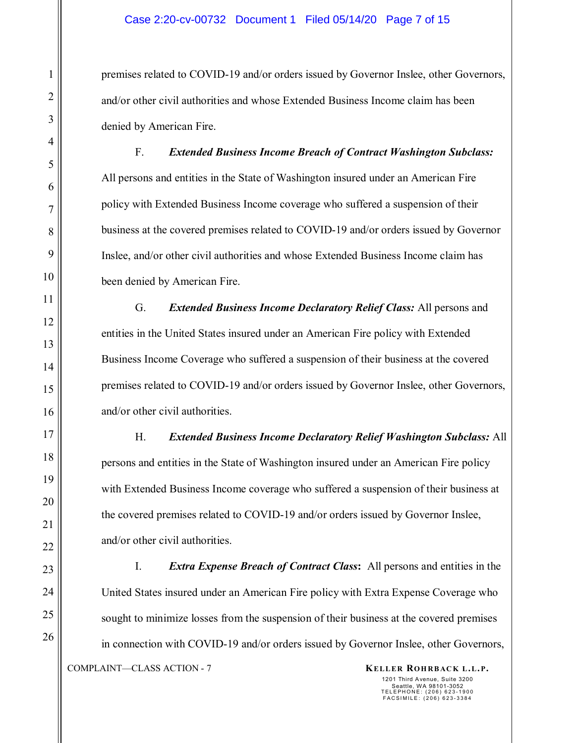premises related to COVID-19 and/or orders issued by Governor Inslee, other Governors, and/or other civil authorities and whose Extended Business Income claim has been denied by American Fire.

F. *Extended Business Income Breach of Contract Washington Subclass:* All persons and entities in the State of Washington insured under an American Fire policy with Extended Business Income coverage who suffered a suspension of their business at the covered premises related to COVID-19 and/or orders issued by Governor Inslee, and/or other civil authorities and whose Extended Business Income claim has been denied by American Fire.

G. *Extended Business Income Declaratory Relief Class:* All persons and entities in the United States insured under an American Fire policy with Extended Business Income Coverage who suffered a suspension of their business at the covered premises related to COVID-19 and/or orders issued by Governor Inslee, other Governors, and/or other civil authorities.

H. *Extended Business Income Declaratory Relief Washington Subclass:* All persons and entities in the State of Washington insured under an American Fire policy with Extended Business Income coverage who suffered a suspension of their business at the covered premises related to COVID-19 and/or orders issued by Governor Inslee, and/or other civil authorities.

COMPLAINT—CLASS ACTION - 7 **KELLER ROHRBACK L.L.P.** I. *Extra Expense Breach of Contract Class***:** All persons and entities in the United States insured under an American Fire policy with Extra Expense Coverage who sought to minimize losses from the suspension of their business at the covered premises in connection with COVID-19 and/or orders issued by Governor Inslee, other Governors,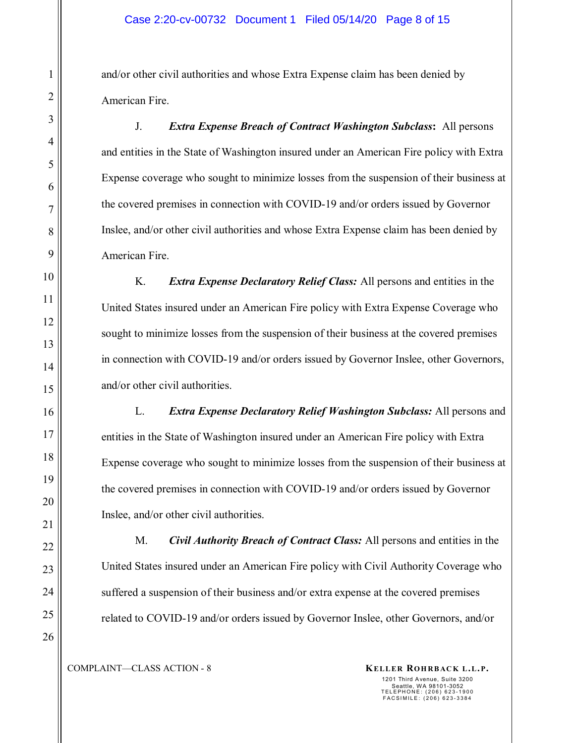and/or other civil authorities and whose Extra Expense claim has been denied by American Fire.

J. *Extra Expense Breach of Contract Washington Subclass***:** All persons and entities in the State of Washington insured under an American Fire policy with Extra Expense coverage who sought to minimize losses from the suspension of their business at the covered premises in connection with COVID-19 and/or orders issued by Governor Inslee, and/or other civil authorities and whose Extra Expense claim has been denied by American Fire.

K. *Extra Expense Declaratory Relief Class:* All persons and entities in the United States insured under an American Fire policy with Extra Expense Coverage who sought to minimize losses from the suspension of their business at the covered premises in connection with COVID-19 and/or orders issued by Governor Inslee, other Governors, and/or other civil authorities.

L. *Extra Expense Declaratory Relief Washington Subclass:* All persons and entities in the State of Washington insured under an American Fire policy with Extra Expense coverage who sought to minimize losses from the suspension of their business at the covered premises in connection with COVID-19 and/or orders issued by Governor Inslee, and/or other civil authorities.

M. *Civil Authority Breach of Contract Class:* All persons and entities in the United States insured under an American Fire policy with Civil Authority Coverage who suffered a suspension of their business and/or extra expense at the covered premises related to COVID-19 and/or orders issued by Governor Inslee, other Governors, and/or

COMPLAINT—CLASS ACTION - 8 **KELLER ROHRBACK L.L.P.**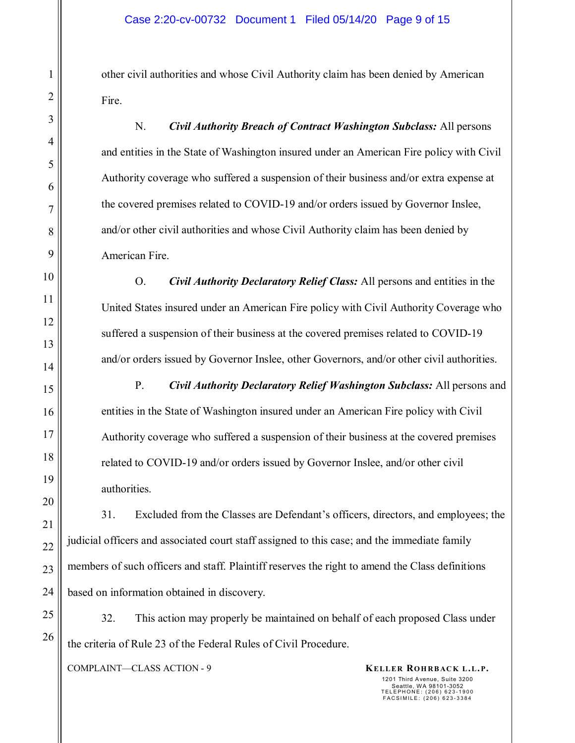other civil authorities and whose Civil Authority claim has been denied by American Fire.

N. *Civil Authority Breach of Contract Washington Subclass:* All persons and entities in the State of Washington insured under an American Fire policy with Civil Authority coverage who suffered a suspension of their business and/or extra expense at the covered premises related to COVID-19 and/or orders issued by Governor Inslee, and/or other civil authorities and whose Civil Authority claim has been denied by American Fire.

O. *Civil Authority Declaratory Relief Class:* All persons and entities in the United States insured under an American Fire policy with Civil Authority Coverage who suffered a suspension of their business at the covered premises related to COVID-19 and/or orders issued by Governor Inslee, other Governors, and/or other civil authorities.

P. *Civil Authority Declaratory Relief Washington Subclass:* All persons and entities in the State of Washington insured under an American Fire policy with Civil Authority coverage who suffered a suspension of their business at the covered premises related to COVID-19 and/or orders issued by Governor Inslee, and/or other civil authorities.

31. Excluded from the Classes are Defendant's officers, directors, and employees; the judicial officers and associated court staff assigned to this case; and the immediate family members of such officers and staff. Plaintiff reserves the right to amend the Class definitions based on information obtained in discovery.

32. This action may properly be maintained on behalf of each proposed Class under the criteria of Rule 23 of the Federal Rules of Civil Procedure.

COMPLAINT—CLASS ACTION - 9 **KELLER ROHRBACK L.L.P.**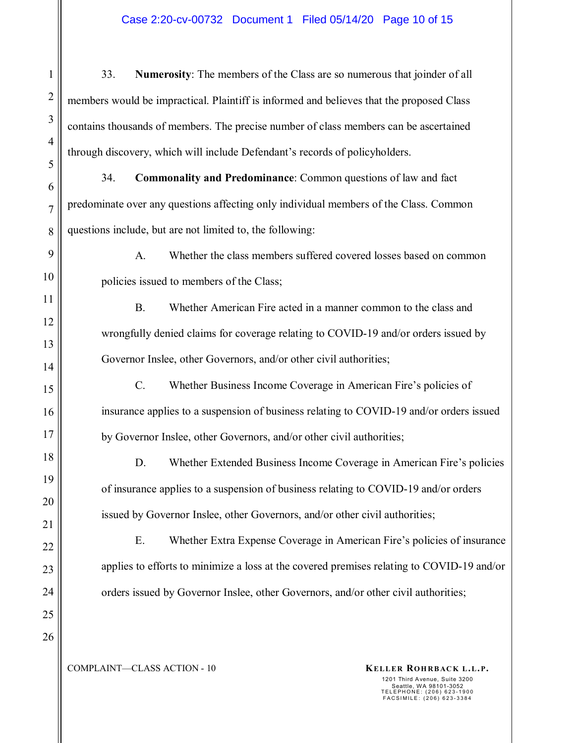#### Case 2:20-cv-00732 Document 1 Filed 05/14/20 Page 10 of 15

33. **Numerosity**: The members of the Class are so numerous that joinder of all members would be impractical. Plaintiff is informed and believes that the proposed Class contains thousands of members. The precise number of class members can be ascertained through discovery, which will include Defendant's records of policyholders.

34. **Commonality and Predominance**: Common questions of law and fact predominate over any questions affecting only individual members of the Class. Common questions include, but are not limited to, the following:

A. Whether the class members suffered covered losses based on common policies issued to members of the Class;

B. Whether American Fire acted in a manner common to the class and wrongfully denied claims for coverage relating to COVID-19 and/or orders issued by Governor Inslee, other Governors, and/or other civil authorities;

C. Whether Business Income Coverage in American Fire's policies of insurance applies to a suspension of business relating to COVID-19 and/or orders issued by Governor Inslee, other Governors, and/or other civil authorities;

D. Whether Extended Business Income Coverage in American Fire's policies of insurance applies to a suspension of business relating to COVID-19 and/or orders issued by Governor Inslee, other Governors, and/or other civil authorities;

E. Whether Extra Expense Coverage in American Fire's policies of insurance applies to efforts to minimize a loss at the covered premises relating to COVID-19 and/or orders issued by Governor Inslee, other Governors, and/or other civil authorities;

# 23 24 25 26

1

2

3

4

5

6

7

8

9

10

11

12

13

14

15

16

17

18

19

20

21

22

COMPLAINT—CLASS ACTION - 10 **KELLER ROHRBACK L.L.P.**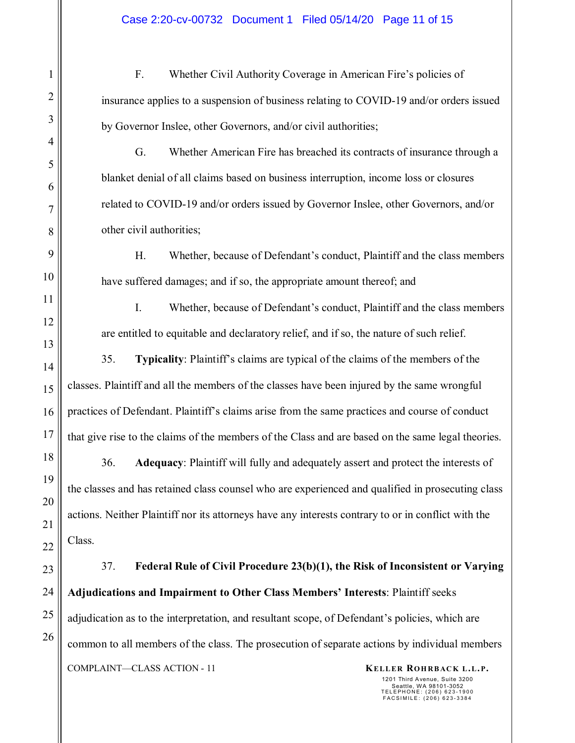F. Whether Civil Authority Coverage in American Fire's policies of insurance applies to a suspension of business relating to COVID-19 and/or orders issued by Governor Inslee, other Governors, and/or civil authorities;

G. Whether American Fire has breached its contracts of insurance through a blanket denial of all claims based on business interruption, income loss or closures related to COVID-19 and/or orders issued by Governor Inslee, other Governors, and/or other civil authorities;

H. Whether, because of Defendant's conduct, Plaintiff and the class members have suffered damages; and if so, the appropriate amount thereof; and

I. Whether, because of Defendant's conduct, Plaintiff and the class members are entitled to equitable and declaratory relief, and if so, the nature of such relief.

35. **Typicality**: Plaintiff's claims are typical of the claims of the members of the classes. Plaintiff and all the members of the classes have been injured by the same wrongful practices of Defendant. Plaintiff's claims arise from the same practices and course of conduct that give rise to the claims of the members of the Class and are based on the same legal theories.

36. **Adequacy**: Plaintiff will fully and adequately assert and protect the interests of the classes and has retained class counsel who are experienced and qualified in prosecuting class actions. Neither Plaintiff nor its attorneys have any interests contrary to or in conflict with the Class.

COMPLAINT—CLASS ACTION - 11 **KELLER ROHRBACK L.L.P.** 37. **Federal Rule of Civil Procedure 23(b)(1), the Risk of Inconsistent or Varying Adjudications and Impairment to Other Class Members' Interests**: Plaintiff seeks adjudication as to the interpretation, and resultant scope, of Defendant's policies, which are common to all members of the class. The prosecution of separate actions by individual members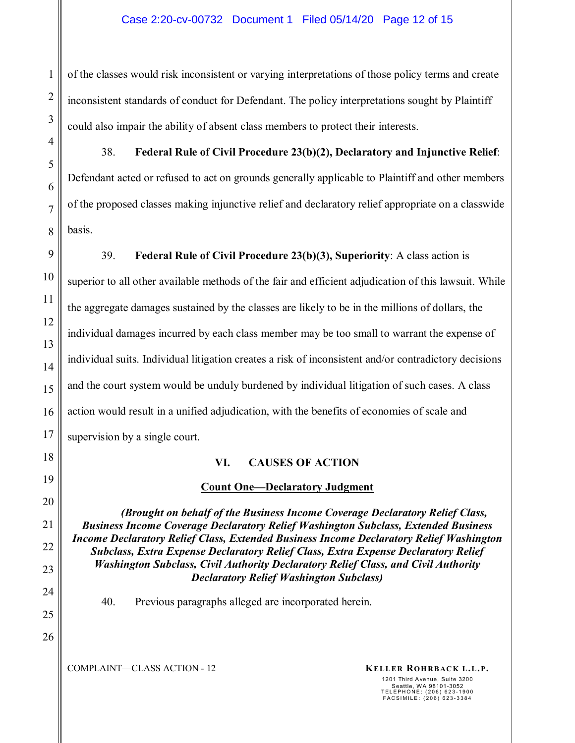of the classes would risk inconsistent or varying interpretations of those policy terms and create inconsistent standards of conduct for Defendant. The policy interpretations sought by Plaintiff could also impair the ability of absent class members to protect their interests.

38. **Federal Rule of Civil Procedure 23(b)(2), Declaratory and Injunctive Relief**: Defendant acted or refused to act on grounds generally applicable to Plaintiff and other members of the proposed classes making injunctive relief and declaratory relief appropriate on a classwide basis.

39. **Federal Rule of Civil Procedure 23(b)(3), Superiority**: A class action is superior to all other available methods of the fair and efficient adjudication of this lawsuit. While the aggregate damages sustained by the classes are likely to be in the millions of dollars, the individual damages incurred by each class member may be too small to warrant the expense of individual suits. Individual litigation creates a risk of inconsistent and/or contradictory decisions and the court system would be unduly burdened by individual litigation of such cases. A class action would result in a unified adjudication, with the benefits of economies of scale and supervision by a single court.

#### **VI. CAUSES OF ACTION**

### **Count One—Declaratory Judgment**

*(Brought on behalf of the Business Income Coverage Declaratory Relief Class, Business Income Coverage Declaratory Relief Washington Subclass, Extended Business Income Declaratory Relief Class, Extended Business Income Declaratory Relief Washington Subclass, Extra Expense Declaratory Relief Class, Extra Expense Declaratory Relief Washington Subclass, Civil Authority Declaratory Relief Class, and Civil Authority Declaratory Relief Washington Subclass)* 

40. Previous paragraphs alleged are incorporated herein.

COMPLAINT—CLASS ACTION - 12 **KELLER ROHRBACK L.L.P.**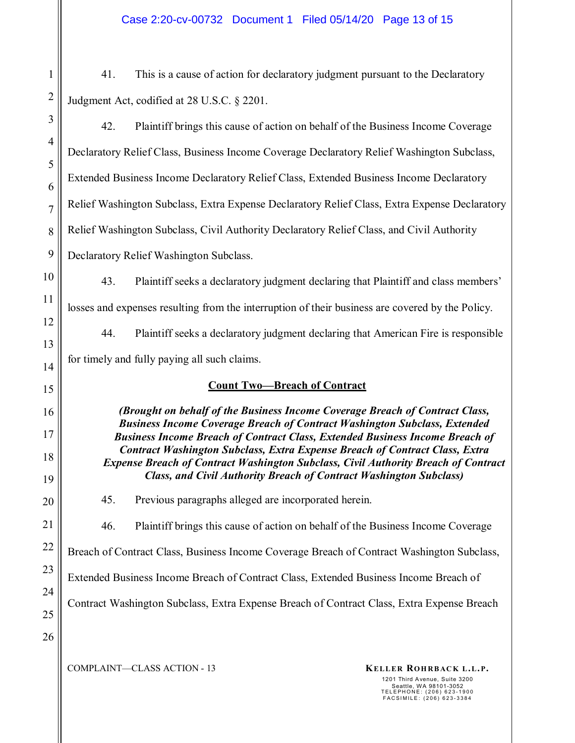41. This is a cause of action for declaratory judgment pursuant to the Declaratory Judgment Act, codified at 28 U.S.C. § 2201.

42. Plaintiff brings this cause of action on behalf of the Business Income Coverage Declaratory Relief Class, Business Income Coverage Declaratory Relief Washington Subclass, Extended Business Income Declaratory Relief Class, Extended Business Income Declaratory Relief Washington Subclass, Extra Expense Declaratory Relief Class, Extra Expense Declaratory Relief Washington Subclass, Civil Authority Declaratory Relief Class, and Civil Authority Declaratory Relief Washington Subclass.

43. Plaintiff seeks a declaratory judgment declaring that Plaintiff and class members' losses and expenses resulting from the interruption of their business are covered by the Policy.

44. Plaintiff seeks a declaratory judgment declaring that American Fire is responsible for timely and fully paying all such claims.

#### **Count Two—Breach of Contract**

*(Brought on behalf of the Business Income Coverage Breach of Contract Class, Business Income Coverage Breach of Contract Washington Subclass, Extended Business Income Breach of Contract Class, Extended Business Income Breach of Contract Washington Subclass, Extra Expense Breach of Contract Class, Extra Expense Breach of Contract Washington Subclass, Civil Authority Breach of Contract Class, and Civil Authority Breach of Contract Washington Subclass)*

45. Previous paragraphs alleged are incorporated herein.

46. Plaintiff brings this cause of action on behalf of the Business Income Coverage

Breach of Contract Class, Business Income Coverage Breach of Contract Washington Subclass,

Extended Business Income Breach of Contract Class, Extended Business Income Breach of

Contract Washington Subclass, Extra Expense Breach of Contract Class, Extra Expense Breach

1

2

3

4

5

6

7

8

9

10

11

12

13

14

15

16

17

18

19

COMPLAINT—CLASS ACTION - 13 **KELLER ROHRBACK L.L.P.**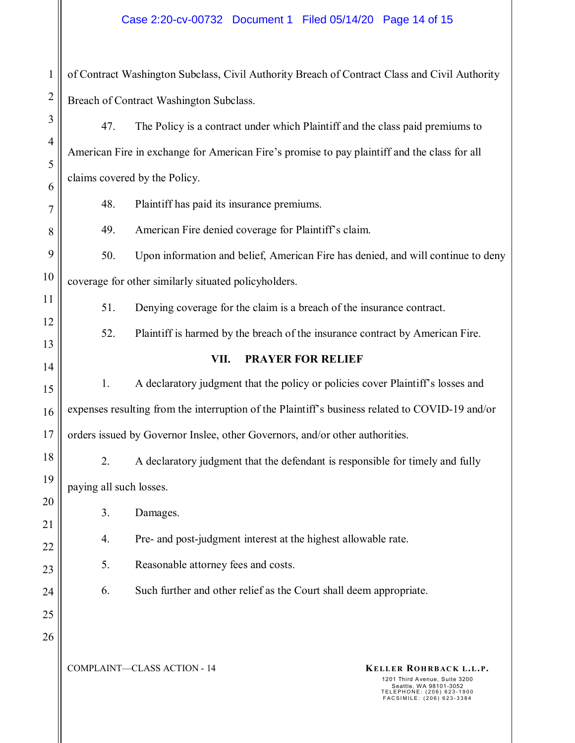#### Case 2:20-cv-00732 Document 1 Filed 05/14/20 Page 14 of 15

1 2 of Contract Washington Subclass, Civil Authority Breach of Contract Class and Civil Authority Breach of Contract Washington Subclass.

47. The Policy is a contract under which Plaintiff and the class paid premiums to American Fire in exchange for American Fire's promise to pay plaintiff and the class for all claims covered by the Policy.

48. Plaintiff has paid its insurance premiums.

49. American Fire denied coverage for Plaintiff's claim.

9 10 50. Upon information and belief, American Fire has denied, and will continue to deny coverage for other similarly situated policyholders.

51. Denying coverage for the claim is a breach of the insurance contract.

52. Plaintiff is harmed by the breach of the insurance contract by American Fire.

#### **VII. PRAYER FOR RELIEF**

1. A declaratory judgment that the policy or policies cover Plaintiff's losses and expenses resulting from the interruption of the Plaintiff's business related to COVID-19 and/or orders issued by Governor Inslee, other Governors, and/or other authorities.

2. A declaratory judgment that the defendant is responsible for timely and fully paying all such losses.

3. Damages.

3

4

5

6

7

8

11

12

13

14

15

16

17

18

19

20

21

22

23

24

25

26

4. Pre- and post-judgment interest at the highest allowable rate.

5. Reasonable attorney fees and costs.

6. Such further and other relief as the Court shall deem appropriate.

COMPLAINT—CLASS ACTION - 14 **KELLER ROHRBACK L.L.P.**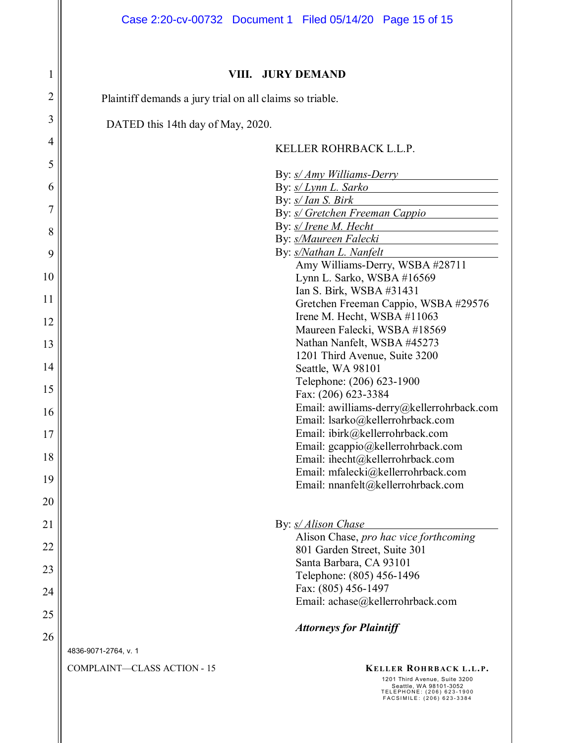|                | Case 2:20-cv-00732 Document 1 Filed 05/14/20 Page 15 of 15                                                                                                                        |  |  |  |  |  |  |  |  |
|----------------|-----------------------------------------------------------------------------------------------------------------------------------------------------------------------------------|--|--|--|--|--|--|--|--|
| 1              | <b>JURY DEMAND</b><br>VIII.                                                                                                                                                       |  |  |  |  |  |  |  |  |
| 2              | Plaintiff demands a jury trial on all claims so triable.                                                                                                                          |  |  |  |  |  |  |  |  |
| 3              |                                                                                                                                                                                   |  |  |  |  |  |  |  |  |
| $\overline{4}$ | DATED this 14th day of May, 2020.                                                                                                                                                 |  |  |  |  |  |  |  |  |
| 5              | KELLER ROHRBACK L.L.P.                                                                                                                                                            |  |  |  |  |  |  |  |  |
| 6              | By: <i>s/ Amy Williams-Derry</i><br>By: s/ Lynn L. Sarko                                                                                                                          |  |  |  |  |  |  |  |  |
|                | By: s/ Ian S. Birk                                                                                                                                                                |  |  |  |  |  |  |  |  |
| 7              | By: <i>s/ Gretchen Freeman Cappio</i>                                                                                                                                             |  |  |  |  |  |  |  |  |
| 8              | By: s/ Irene M. Hecht<br>By: s/Maureen Falecki                                                                                                                                    |  |  |  |  |  |  |  |  |
| 9              | By: s/Nathan L. Nanfelt                                                                                                                                                           |  |  |  |  |  |  |  |  |
| 10             | Amy Williams-Derry, WSBA #28711<br>Lynn L. Sarko, WSBA #16569                                                                                                                     |  |  |  |  |  |  |  |  |
| 11             | Ian S. Birk, WSBA #31431                                                                                                                                                          |  |  |  |  |  |  |  |  |
|                | Gretchen Freeman Cappio, WSBA #29576<br>Irene M. Hecht, WSBA #11063                                                                                                               |  |  |  |  |  |  |  |  |
| 12             | Maureen Falecki, WSBA #18569                                                                                                                                                      |  |  |  |  |  |  |  |  |
| 13             | Nathan Nanfelt, WSBA #45273                                                                                                                                                       |  |  |  |  |  |  |  |  |
| 14             | 1201 Third Avenue, Suite 3200<br>Seattle, WA 98101                                                                                                                                |  |  |  |  |  |  |  |  |
| 15             | Telephone: (206) 623-1900                                                                                                                                                         |  |  |  |  |  |  |  |  |
|                | Fax: (206) 623-3384<br>Email: awilliams-derry@kellerrohrback.com                                                                                                                  |  |  |  |  |  |  |  |  |
| 16             | Email: lsarko@kellerrohrback.com                                                                                                                                                  |  |  |  |  |  |  |  |  |
| 17             | Email: ibirk@kellerrohrback.com<br>Email: gcappio@kellerrohrback.com                                                                                                              |  |  |  |  |  |  |  |  |
| 18             | Email: ihecht@kellerrohrback.com                                                                                                                                                  |  |  |  |  |  |  |  |  |
| 19             | Email: mfalecki@kellerrohrback.com                                                                                                                                                |  |  |  |  |  |  |  |  |
| 20             | Email: nnanfelt@kellerrohrback.com                                                                                                                                                |  |  |  |  |  |  |  |  |
| 21             | By: <i>s/ Alison Chase</i>                                                                                                                                                        |  |  |  |  |  |  |  |  |
| 22             | Alison Chase, pro hac vice forthcoming                                                                                                                                            |  |  |  |  |  |  |  |  |
|                | 801 Garden Street, Suite 301<br>Santa Barbara, CA 93101                                                                                                                           |  |  |  |  |  |  |  |  |
| 23             | Telephone: (805) 456-1496                                                                                                                                                         |  |  |  |  |  |  |  |  |
| 24             | Fax: (805) 456-1497<br>Email: achase@kellerrohrback.com                                                                                                                           |  |  |  |  |  |  |  |  |
| 25             | <b>Attorneys for Plaintiff</b>                                                                                                                                                    |  |  |  |  |  |  |  |  |
| 26             |                                                                                                                                                                                   |  |  |  |  |  |  |  |  |
|                | 4836-9071-2764, v. 1                                                                                                                                                              |  |  |  |  |  |  |  |  |
|                | <b>COMPLAINT-CLASS ACTION - 15</b><br>KELLER ROHRBACK L.L.P.<br>1201 Third Avenue, Suite 3200<br>Seattle, WA 98101-3052<br>TELEPHONE: (206) 623-1900<br>FACSIMILE: (206) 623-3384 |  |  |  |  |  |  |  |  |
|                |                                                                                                                                                                                   |  |  |  |  |  |  |  |  |